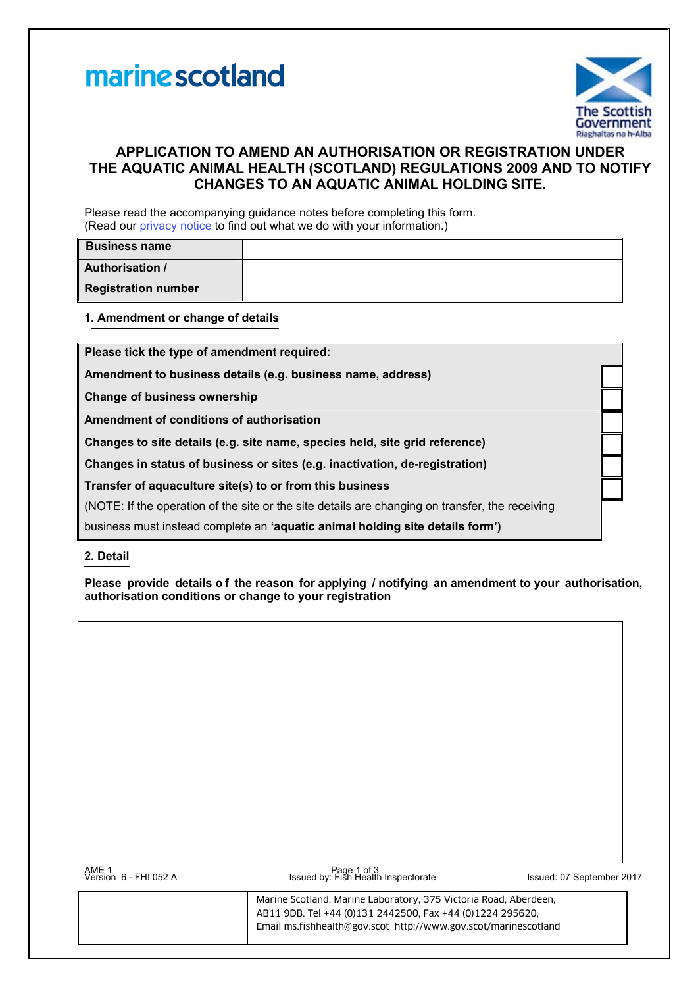



# **APPLICATION TO AMEND AN AUTHORISATION OR REGISTRATION UNDER THE AQUATIC ANIMAL HEALTH (SCOTLAND) REGULATIONS 2009 AND TO NOTIFY CHANGES TO AN AQUATIC ANIMAL HOLDING SITE.**

Please read the accompanying guidance notes before completing this form. (Read our [privacy notice](http://www.gov.scot/Topics/marine/Fish-Shellfish/FHI/forms/GDPR) to find out what we do with your information.)

| <b>Business name</b>       |  |
|----------------------------|--|
| <b>Authorisation /</b>     |  |
| <b>Registration number</b> |  |

**1. Amendment or change of details**

**Please tick the type of amendment required:**

**Amendment to business details (e.g. business name, address)** 

**Change of business ownership** 

**Amendment of conditions of authorisation** 

**Changes to site details (e.g. site name, species held, site grid reference)** 

**Changes in status of business or sites (e.g. inactivation, de-registration)** 

**Transfer of aquaculture site(s) to or from this business** 

(NOTE: If the operation of the site or the site details are changing on transfer, the receiving

business must instead complete an **'aquatic animal holding site details form')** 

### **2. Detail**

**Please provide details o f the reason for applying / notifying an amendment to your authorisation, authorisation conditions or change to your registration** 

| AME 1<br>Version 6 - FHI 052 A | Page 1 of 3<br>Issued by: Fish Health Inspectorate                                                                                                                                               | Issued: 07 September 2017 |
|--------------------------------|--------------------------------------------------------------------------------------------------------------------------------------------------------------------------------------------------|---------------------------|
|                                | Marine Scotland, Marine Laboratory, 375 Victoria Road, Aberdeen,<br>AB11 9DB. Tel +44 (0)131 2442500. Fax +44 (0)1224 295620.<br>Email ms.fishhealth@gov.scot_http://www.gov.scot/marinescotland |                           |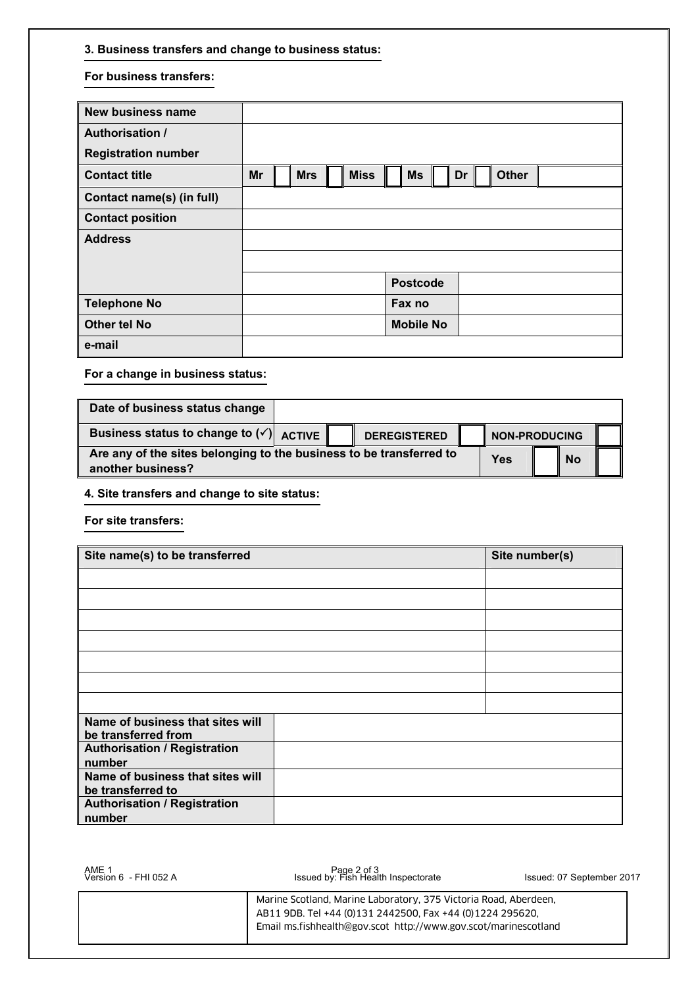## **3. Business transfers and change to business status:**

#### **For business transfers:**

| <b>New business name</b>   |    |            |             |                  |    |              |  |
|----------------------------|----|------------|-------------|------------------|----|--------------|--|
| <b>Authorisation /</b>     |    |            |             |                  |    |              |  |
| <b>Registration number</b> |    |            |             |                  |    |              |  |
| <b>Contact title</b>       | Mr | <b>Mrs</b> | <b>Miss</b> | <b>Ms</b>        | Dr | <b>Other</b> |  |
| Contact name(s) (in full)  |    |            |             |                  |    |              |  |
| <b>Contact position</b>    |    |            |             |                  |    |              |  |
| <b>Address</b>             |    |            |             |                  |    |              |  |
|                            |    |            |             |                  |    |              |  |
|                            |    |            |             | <b>Postcode</b>  |    |              |  |
| <b>Telephone No</b>        |    |            |             | Fax no           |    |              |  |
| <b>Other tel No</b>        |    |            |             | <b>Mobile No</b> |    |              |  |
| e-mail                     |    |            |             |                  |    |              |  |

**For a change in business status:** 

| Date of business status change                                                           |     |                     |                      |  |  |
|------------------------------------------------------------------------------------------|-----|---------------------|----------------------|--|--|
| Business status to change to $(v')$ ACTIVE                                               |     | <b>DEREGISTERED</b> | <b>NON-PRODUCING</b> |  |  |
| Are any of the sites belonging to the business to be transferred to<br>another business? | Yes | ll No               |                      |  |  |

**4. Site transfers and change to site status:** 

**For site transfers:** 

| Site name(s) to be transferred                          | Site number(s) |  |
|---------------------------------------------------------|----------------|--|
|                                                         |                |  |
|                                                         |                |  |
|                                                         |                |  |
|                                                         |                |  |
|                                                         |                |  |
|                                                         |                |  |
|                                                         |                |  |
| Name of business that sites will<br>be transferred from |                |  |
| <b>Authorisation / Registration</b><br>number           |                |  |
| Name of business that sites will<br>be transferred to   |                |  |
| <b>Authorisation / Registration</b><br>number           |                |  |

| AME 1<br>Version 6 - FHI 052 A | Page 2 of 3<br>Issued by: Fish Health Inspectorate                                                                                                                                               | Issued: 07 September 2017 |
|--------------------------------|--------------------------------------------------------------------------------------------------------------------------------------------------------------------------------------------------|---------------------------|
|                                | Marine Scotland, Marine Laboratory, 375 Victoria Road, Aberdeen,<br>AB11 9DB. Tel +44 (0)131 2442500, Fax +44 (0)1224 295620,<br>Email ms.fishhealth@gov.scot http://www.gov.scot/marinescotland |                           |